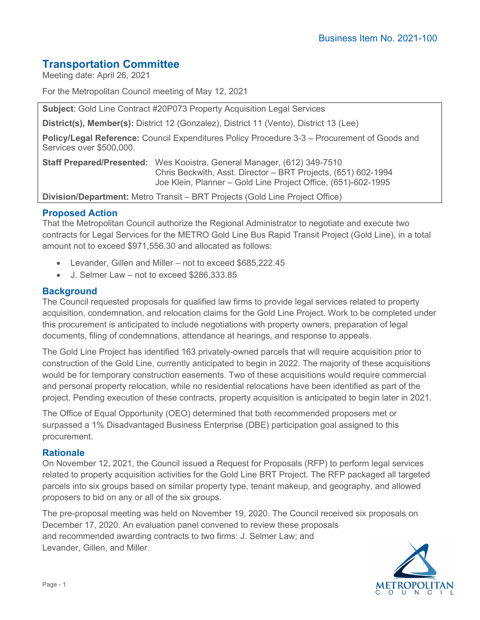# **Transportation Committee**

Meeting date: April 26, 2021

For the Metropolitan Council meeting of May 12, 2021

**Subject**: Gold Line Contract #20P073 Property Acquisition Legal Services

**District(s), Member(s):** District 12 (Gonzalez), District 11 (Vento), District 13 (Lee)

**Policy/Legal Reference:** Council Expenditures Policy Procedure 3-3 – Procurement of Goods and Services over \$500,000.

**Staff Prepared/Presented:** Wes Kooistra, General Manager, (612) 349-7510 Chris Beckwith, Asst. Director – BRT Projects, (651) 602-1994 Joe Klein, Planner – Gold Line Project Office, (651)-602-1995

**Division/Department:** Metro Transit – BRT Projects (Gold Line Project Office)

# **Proposed Action**

That the Metropolitan Council authorize the Regional Administrator to negotiate and execute two contracts for Legal Services for the METRO Gold Line Bus Rapid Transit Project (Gold Line), in a total amount not to exceed \$971,556.30 and allocated as follows:

- Levander, Gillen and Miller not to exceed \$685,222.45
- J. Selmer Law not to exceed \$286,333.85

# **Background**

The Council requested proposals for qualified law firms to provide legal services related to property acquisition, condemnation, and relocation claims for the Gold Line Project. Work to be completed under this procurement is anticipated to include negotiations with property owners, preparation of legal documents, filing of condemnations, attendance at hearings, and response to appeals.

The Gold Line Project has identified 163 privately-owned parcels that will require acquisition prior to construction of the Gold Line, currently anticipated to begin in 2022. The majority of these acquisitions would be for temporary construction easements. Two of these acquisitions would require commercial and personal property relocation, while no residential relocations have been identified as part of the project. Pending execution of these contracts, property acquisition is anticipated to begin later in 2021.

The Office of Equal Opportunity (OEO) determined that both recommended proposers met or surpassed a 1% Disadvantaged Business Enterprise (DBE) participation goal assigned to this procurement.

#### **Rationale**

On November 12, 2021, the Council issued a Request for Proposals (RFP) to perform legal services related to property acquisition activities for the Gold Line BRT Project. The RFP packaged all targeted parcels into six groups based on similar property type, tenant makeup, and geography, and allowed proposers to bid on any or all of the six groups.

The pre-proposal meeting was held on November 19, 2020. The Council received six proposals on December 17, 2020. An evaluation panel convened to review these proposals and recommended awarding contracts to two firms: J. Selmer Law; and Levander, Gillen, and Miller.